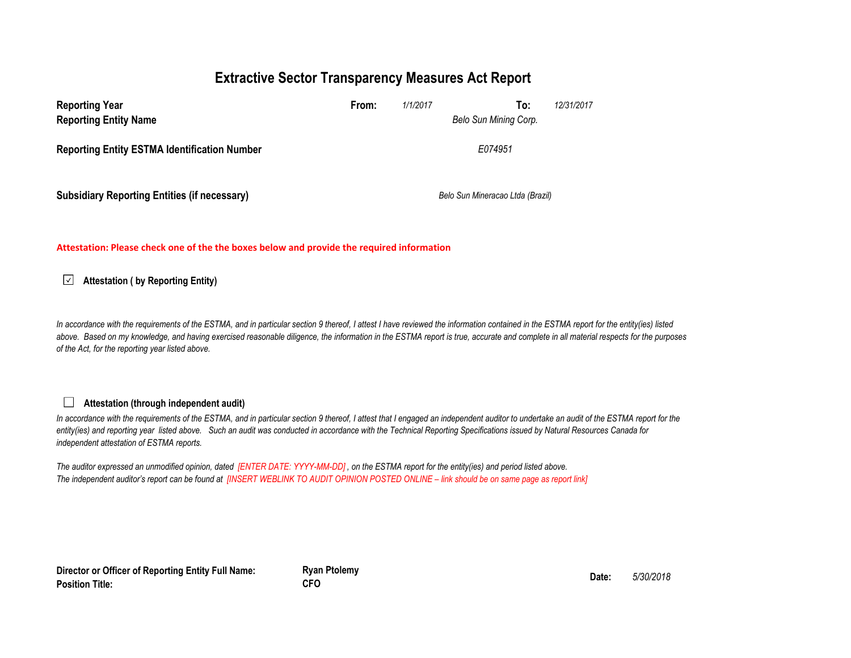## **Extractive Sector Transparency Measures Act Report**

| <b>Reporting Year</b><br><b>Reporting Entity Name</b> | From: | 1/1/2017 | 12/31/2017<br>To:<br>Belo Sun Mining Corp. |  |
|-------------------------------------------------------|-------|----------|--------------------------------------------|--|
| <b>Reporting Entity ESTMA Identification Number</b>   |       |          | E074951                                    |  |
| <b>Subsidiary Reporting Entities (if necessary)</b>   |       |          | Belo Sun Mineracao Ltda (Brazil)           |  |

**Attestation: Please check one of the the boxes below and provide the required information**

#### **Attestation ( by Reporting Entity)**

In accordance with the requirements of the ESTMA, and in particular section 9 thereof, I attest I have reviewed the information contained in the ESTMA report for the entity(ies) listed *above. Based on my knowledge, and having exercised reasonable diligence, the information in the ESTMA report is true, accurate and complete in all material respects for the purposes of the Act, for the reporting year listed above.* 

#### **Attestation (through independent audit)**

 $\Box$ 

In accordance with the requirements of the ESTMA, and in particular section 9 thereof, I attest that I engaged an independent auditor to undertake an audit of the ESTMA report for the *entity(ies) and reporting year listed above. Such an audit was conducted in accordance with the Technical Reporting Specifications issued by Natural Resources Canada for independent attestation of ESTMA reports.* 

*The auditor expressed an unmodified opinion, dated [ENTER DATE: YYYY-MM-DD] , on the ESTMA report for the entity(ies) and period listed above. The independent auditor's report can be found at [INSERT WEBLINK TO AUDIT OPINION POSTED ONLINE – link should be on same page as report link]* 

**Director or Officer of Reporting Entity Full Name: Position Title:**

**Ryan Ptolemy Date:** *5/30/2018* **CFO**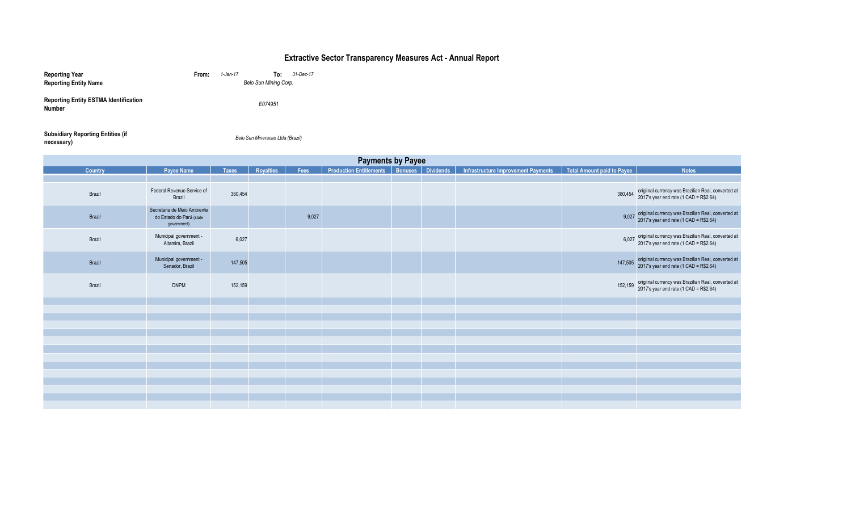### **Extractive Sector Transparency Measures Act - Annual Report**

| <b>Reporting Year</b>                                         | From: | $1$ -Jan-17 | To:                   | 31-Dec-17 |
|---------------------------------------------------------------|-------|-------------|-----------------------|-----------|
| <b>Reporting Entity Name</b>                                  |       |             | Belo Sun Mining Corp. |           |
| <b>Reporting Entity ESTMA Identification</b><br><b>Number</b> |       |             | E074951               |           |

| <b>Subsidiary Reporting Entities (if</b> | Belo Sun Mineracao Ltda (Brazil) |
|------------------------------------------|----------------------------------|
| necessary)                               |                                  |

| <b>Payments by Payee</b> |                                                                        |              |                  |       |                                                      |  |  |                                     |                            |                                                                                                     |
|--------------------------|------------------------------------------------------------------------|--------------|------------------|-------|------------------------------------------------------|--|--|-------------------------------------|----------------------------|-----------------------------------------------------------------------------------------------------|
| Country                  | <b>Payee Name</b>                                                      | <b>Taxes</b> | <b>Royalties</b> | Fees  | <b>Production Entitlements   Bonuses   Dividends</b> |  |  | Infrastructure Improvement Payments | Total Amount paid to Payee | <b>Notes</b>                                                                                        |
|                          |                                                                        |              |                  |       |                                                      |  |  |                                     |                            |                                                                                                     |
| Brazil                   | Federal Revenue Service of<br>Brazil                                   | 380,454      |                  |       |                                                      |  |  |                                     | 380,454                    | origiinal currency was Brazilian Real, converted at<br>2017's year end rate $(1$ CAD = R\$2.64)     |
| Brazil                   | Secretaria de Meio Ambiente<br>do Estado do Pará (state<br>government) |              |                  | 9,027 |                                                      |  |  |                                     |                            | 9,027 origiinal currency was Brazilian Real, converted at<br>2017's year end rate (1 CAD = R\$2.64) |
| Brazil                   | Municipal government -<br>Altamira, Brazil                             | 6,027        |                  |       |                                                      |  |  |                                     | 6.027                      | origiinal currency was Brazilian Real, converted at<br>2017's year end rate (1 CAD = R\$2.64)       |
| Brazil                   | Municipal government -<br>Senador, Brazil                              | 147,505      |                  |       |                                                      |  |  |                                     | 147,505                    | origiinal currency was Brazilian Real, converted at<br>2017's year end rate (1 CAD = R\$2.64)       |
| Brazil                   | <b>DNPM</b>                                                            | 152,159      |                  |       |                                                      |  |  |                                     | 152,159                    | origiinal currency was Brazilian Real, converted at<br>2017's year end rate (1 CAD = R\$2.64)       |
|                          |                                                                        |              |                  |       |                                                      |  |  |                                     |                            |                                                                                                     |
|                          |                                                                        |              |                  |       |                                                      |  |  |                                     |                            |                                                                                                     |
|                          |                                                                        |              |                  |       |                                                      |  |  |                                     |                            |                                                                                                     |
|                          |                                                                        |              |                  |       |                                                      |  |  |                                     |                            |                                                                                                     |
|                          |                                                                        |              |                  |       |                                                      |  |  |                                     |                            |                                                                                                     |
|                          |                                                                        |              |                  |       |                                                      |  |  |                                     |                            |                                                                                                     |
|                          |                                                                        |              |                  |       |                                                      |  |  |                                     |                            |                                                                                                     |
|                          |                                                                        |              |                  |       |                                                      |  |  |                                     |                            |                                                                                                     |
|                          |                                                                        |              |                  |       |                                                      |  |  |                                     |                            |                                                                                                     |
|                          |                                                                        |              |                  |       |                                                      |  |  |                                     |                            |                                                                                                     |
|                          |                                                                        |              |                  |       |                                                      |  |  |                                     |                            |                                                                                                     |
|                          |                                                                        |              |                  |       |                                                      |  |  |                                     |                            |                                                                                                     |